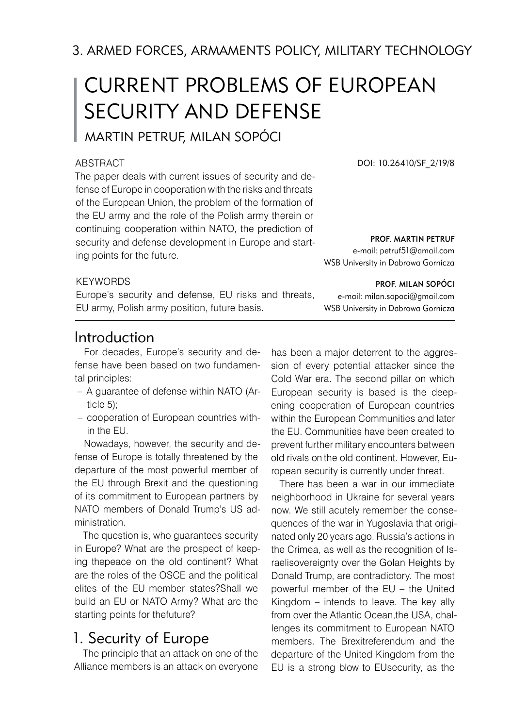3. ARMED FORCES, ARMAMENTS POLICY, MILITARY TECHNOLOGY

# CURRENT PROBLEMS OF EUROPEAN SECURITY AND DEFENSE

Martin Petruf, Milan Sopóci

#### **ABSTRACT**

The paper deals with current issues of security and defense of Europe in cooperation with the risks and threats of the European Union, the problem of the formation of the EU army and the role of the Polish army therein or continuing cooperation within NATO, the prediction of security and defense development in Europe and starting points for the future.

DOI: 10.26410/SF\_2/19/8

prof. Martin Petruf e-mail: petruf51@amail.com

prof. Milan Sopóci

WSB University in Dabrowa Gornicza

e-mail: milan.sopoci@gmail.com WSB University in Dabrowa Gornicza

#### **KEYWORDS**

Europe's security and defense, EU risks and threats, EU army, Polish army position, future basis.

### Introduction

For decades, Europe's security and defense have been based on two fundamental principles:

- A guarantee of defense within NATO (Ar-– ticle 5);
- cooperation of European countries within the EU.

Nowadays, however, the security and defense of Europe is totally threatened by the departure of the most powerful member of the EU through Brexit and the questioning of its commitment to European partners by NATO members of Donald Trump's US administration.

The question is, who guarantees security in Europe? What are the prospect of keeping thepeace on the old continent? What are the roles of the OSCE and the political elites of the EU member states?Shall we build an EU or NATO Army? What are the starting points for thefuture?

## 1. Security of Europe

The principle that an attack on one of the Alliance members is an attack on everyone has been a major deterrent to the aggression of every potential attacker since the Cold War era. The second pillar on which European security is based is the deepening cooperation of European countries within the European Communities and later the EU. Communities have been created to prevent further military encounters between old rivals on the old continent. However, European security is currently under threat.

There has been a war in our immediate neighborhood in Ukraine for several years now. We still acutely remember the consequences of the war in Yugoslavia that originated only 20 years ago. Russia's actions in the Crimea, as well as the recognition of Israelisovereignty over the Golan Heights by Donald Trump, are contradictory. The most powerful member of the EU – the United Kingdom – intends to leave. The key ally from over the Atlantic Ocean,the USA, challenges its commitment to European NATO members. The Brexitreferendum and the departure of the United Kingdom from the EU is a strong blow to EUsecurity, as the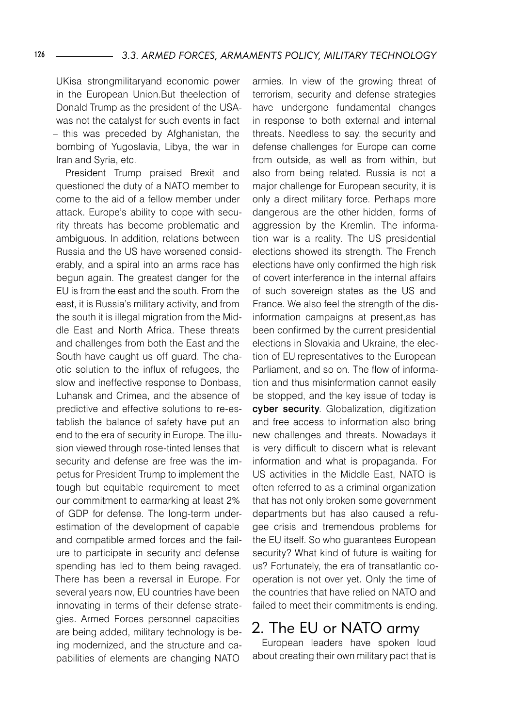UKisa strongmilitaryand economic power in the European Union.But theelection of Donald Trump as the president of the USAwas not the catalyst for such events in fact – this was preceded by Afghanistan, the bombing of Yugoslavia, Libya, the war in Iran and Syria, etc.

President Trump praised Brexit and questioned the duty of a NATO member to come to the aid of a fellow member under attack. Europe's ability to cope with security threats has become problematic and ambiguous. In addition, relations between Russia and the US have worsened considerably, and a spiral into an arms race has begun again. The greatest danger for the EU is from the east and the south. From the east, it is Russia's military activity, and from the south it is illegal migration from the Middle East and North Africa. These threats and challenges from both the East and the South have caught us off guard. The chaotic solution to the influx of refugees, the slow and ineffective response to Donbass, Luhansk and Crimea, and the absence of predictive and effective solutions to re-establish the balance of safety have put an end to the era of security in Europe. The illusion viewed through rose-tinted lenses that security and defense are free was the impetus for President Trump to implement the tough but equitable requirement to meet our commitment to earmarking at least 2% of GDP for defense. The long-term underestimation of the development of capable and compatible armed forces and the failure to participate in security and defense spending has led to them being ravaged. There has been a reversal in Europe. For several years now, EU countries have been innovating in terms of their defense strategies. Armed Forces personnel capacities are being added, military technology is being modernized, and the structure and capabilities of elements are changing NATO

armies. In view of the growing threat of terrorism, security and defense strategies have undergone fundamental changes in response to both external and internal threats. Needless to say, the security and defense challenges for Europe can come from outside, as well as from within, but also from being related. Russia is not a major challenge for European security, it is only a direct military force. Perhaps more dangerous are the other hidden, forms of aggression by the Kremlin. The information war is a reality. The US presidential elections showed its strength. The French elections have only confirmed the high risk of covert interference in the internal affairs of such sovereign states as the US and France. We also feel the strength of the disinformation campaigns at present,as has been confirmed by the current presidential elections in Slovakia and Ukraine, the election of EU representatives to the European Parliament, and so on. The flow of information and thus misinformation cannot easily be stopped, and the key issue of today is cyber security. Globalization, digitization and free access to information also bring new challenges and threats. Nowadays it is very difficult to discern what is relevant information and what is propaganda. For US activities in the Middle East, NATO is often referred to as a criminal organization that has not only broken some government departments but has also caused a refugee crisis and tremendous problems for the EU itself. So who guarantees European security? What kind of future is waiting for us? Fortunately, the era of transatlantic cooperation is not over yet. Only the time of the countries that have relied on NATO and failed to meet their commitments is ending.

## 2. The EU or NATO army

European leaders have spoken loud about creating their own military pact that is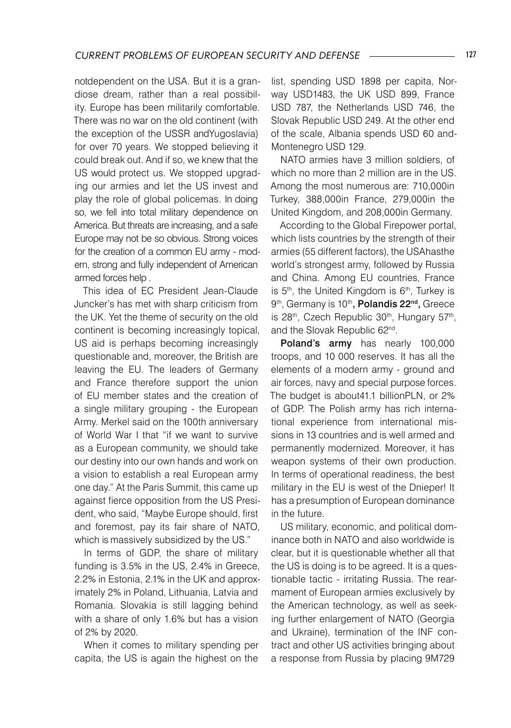notdependent on the USA. But it is a grandiose dream, rather than a real possibility. Europe has been militarily comfortable. There was no war on the old continent (with the exception of the USSR andYugoslavia) for over 70 years. We stopped believing it could break out. And if so, we knew that the US would protect us. We stopped upgrading our armies and let the US invest and play the role of global policemas. In doing so, we fell into total military dependence on America. But threats are increasing, and a safe Europe may not be so obvious. Strong voices for the creation of a common EU army - modern, strong and fully independent of American armed forces help .

This idea of EC President Jean-Claude Juncker's has met with sharp criticism from the UK. Yet the theme of security on the old continent is becoming increasingly topical, US aid is perhaps becoming increasingly questionable and, moreover, the British are leaving the EU. The leaders of Germany and France therefore support the union of EU member states and the creation of a single military grouping - the European Army. Merkel said on the 100th anniversary of World War I that "if we want to survive as a European community, we should take our destiny into our own hands and work on a vision to establish a real European army one day." At the Paris Summit, this came up against fierce opposition from the US President, who said, "Maybe Europe should, first and foremost, pay its fair share of NATO, which is massively subsidized by the US."

In terms of GDP, the share of military funding is 3.5% in the US, 2.4% in Greece, 2.2% in Estonia, 2.1% in the UK and approximately 2% in Poland, Lithuania, Latvia and Romania. Slovakia is still lagging behind with a share of only 1.6% but has a vision of 2% by 2020.

When it comes to military spending per capita, the US is again the highest on the list, spending USD 1898 per capita, Norway USD1483, the UK USD 899, France USD 787, the Netherlands USD 746, the Slovak Republic USD 249. At the other end of the scale, Albania spends USD 60 and-Montenegro USD 129.

NATO armies have 3 million soldiers, of which no more than 2 million are in the US. Among the most numerous are: 710,000in Turkey, 388,000in France, 279,000in the United Kingdom, and 208,000in Germany.

According to the Global Firepower portal, which lists countries by the strength of their armies (55 different factors), the USAhasthe world's strongest army, followed by Russia and China. Among EU countries, France is  $5<sup>th</sup>$ , the United Kingdom is  $6<sup>th</sup>$ , Turkey is 9<sup>th</sup>, Germany is 10<sup>th</sup>, Polandis 22<sup>nd</sup>, Greece is  $28<sup>th</sup>$ . Czech Republic  $30<sup>th</sup>$ . Hungary  $57<sup>th</sup>$ . and the Slovak Republic 62nd.

Poland's army has nearly 100,000 troops, and 10 000 reserves. It has all the elements of a modern army - ground and air forces, navy and special purpose forces. The budget is about41.1 billionPLN, or 2% of GDP. The Polish army has rich international experience from international missions in 13 countries and is well armed and permanently modernized. Moreover, it has weapon systems of their own production. In terms of operational readiness, the best military in the EU is west of the Dnieper! It has a presumption of European dominance in the future.

US military, economic, and political dominance both in NATO and also worldwide is clear, but it is questionable whether all that the US is doing is to be agreed. It is a questionable tactic - irritating Russia. The rearmament of European armies exclusively by the American technology, as well as seeking further enlargement of NATO (Georgia and Ukraine), termination of the INF contract and other US activities bringing about a response from Russia by placing 9M729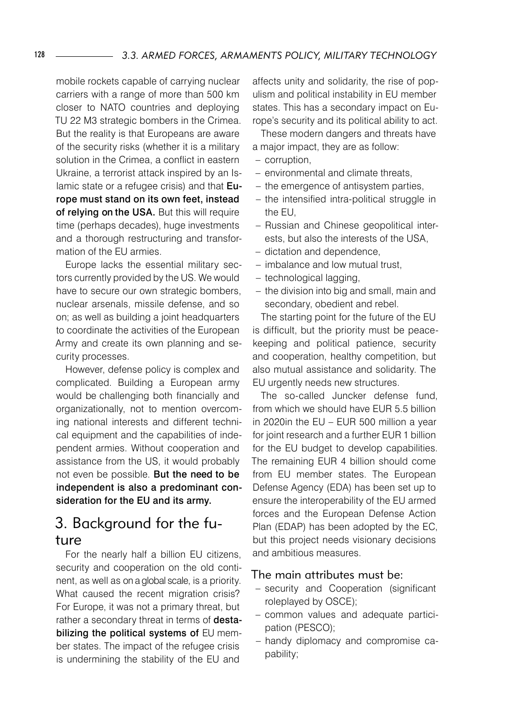mobile rockets capable of carrying nuclear carriers with a range of more than 500 km closer to NATO countries and deploying TU 22 M3 strategic bombers in the Crimea. But the reality is that Europeans are aware of the security risks (whether it is a military solution in the Crimea, a conflict in eastern Ukraine, a terrorist attack inspired by an Islamic state or a refugee crisis) and that Europe must stand on its own feet, instead of relying on the USA. But this will require time (perhaps decades), huge investments and a thorough restructuring and transformation of the EU armies.

Europe lacks the essential military sectors currently provided by the US. We would have to secure our own strategic bombers, nuclear arsenals, missile defense, and so on; as well as building a joint headquarters to coordinate the activities of the European Army and create its own planning and security processes.

However, defense policy is complex and complicated. Building a European army would be challenging both financially and organizationally, not to mention overcoming national interests and different technical equipment and the capabilities of independent armies. Without cooperation and assistance from the US, it would probably not even be possible. But the need to be independent is also a predominant consideration for the EU and its army.

## 3. Background for the future

For the nearly half a billion EU citizens, security and cooperation on the old continent, as well as on a global scale, is a priority. What caused the recent migration crisis? For Europe, it was not a primary threat, but rather a secondary threat in terms of destabilizing the political systems of EU member states. The impact of the refugee crisis is undermining the stability of the EU and

affects unity and solidarity, the rise of populism and political instability in EU member states. This has a secondary impact on Europe's security and its political ability to act.

These modern dangers and threats have a major impact, they are as follow:

- corruption,
- environmental and climate threats,
- the emergence of antisystem parties,
- the intensified intra-political struggle in the EU,
- Russian and Chinese geopolitical interests, but also the interests of the USA,
- dictation and dependence,
- $-$  imbalance and low mutual trust,
- technological lagging,
- $-$  the division into big and small, main and secondary, obedient and rebel.

The starting point for the future of the EU is difficult, but the priority must be peacekeeping and political patience, security and cooperation, healthy competition, but also mutual assistance and solidarity. The EU urgently needs new structures.

The so-called Juncker defense fund, from which we should have EUR 5.5 billion in 2020in the EU – EUR 500 million a year for joint research and a further EUR 1 billion for the EU budget to develop capabilities. The remaining EUR 4 billion should come from EU member states. The European Defense Agency (EDA) has been set up to ensure the interoperability of the EU armed forces and the European Defense Action Plan (EDAP) has been adopted by the EC, but this project needs visionary decisions and ambitious measures.

#### The main attributes must be:

- security and Cooperation (significant roleplayed by OSCE);
- common values and adequate participation (PESCO);
- handy diplomacy and compromise capability;